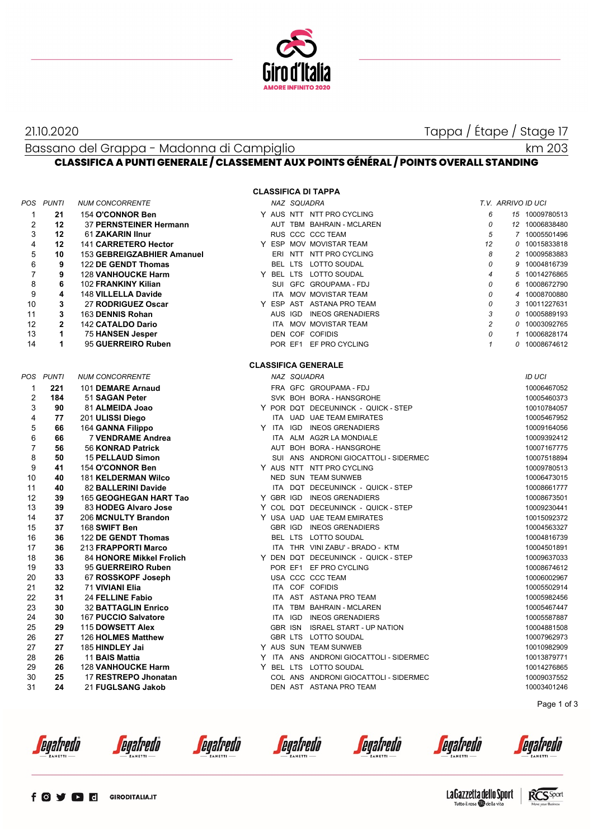

**CLASSIFICA DI TAPPA**

21.10.2020 Tappa / Étape / Stage 17

km 203

Bassano del Grappa - Madonna di Campiglio **CLASSIFICA A PUNTI GENERALE / CLASSEMENT AUX POINTS GÉNÉRAL / POINTS OVERALL STANDING**

|                | POS PUNTI    | <b>NUM CONCORRENTE</b>     |  | NAZ SQUADRA |                                         |                | T.V. ARRIVO ID UCI |                |
|----------------|--------------|----------------------------|--|-------------|-----------------------------------------|----------------|--------------------|----------------|
| $\mathbf{1}$   | 21           | 154 O'CONNOR Ben           |  |             | Y AUS NTT NTT PRO CYCLING               | 6              |                    | 15 10009780513 |
| $\overline{2}$ | 12           | 37 PERNSTEINER Hermann     |  |             | AUT TBM BAHRAIN - MCLAREN               | 0              |                    | 12 10006838480 |
| 3              | 12           | 61 ZAKARIN IInur           |  |             | RUS CCC CCC TEAM                        | 5              |                    | 7 10005501496  |
| 4              | 12           | 141 CARRETERO Hector       |  |             | Y ESP MOV MOVISTAR TEAM                 | 12             |                    | 0 10015833818  |
| 5              | 10           | 153 GEBREIGZABHIER Amanuel |  |             | ERI NTT NTT PRO CYCLING                 | 8              |                    | 2 10009583883  |
| 6              | 9            | 122 DE GENDT Thomas        |  |             | BEL LTS LOTTO SOUDAL                    | 0              |                    | 9 10004816739  |
| $\overline{7}$ | 9            | <b>128 VANHOUCKE Harm</b>  |  |             | Y BEL LTS LOTTO SOUDAL                  | $\overline{4}$ |                    | 5 10014276865  |
| 8              | 6            | 102 FRANKINY Kilian        |  |             | SUI GFC GROUPAMA - FDJ                  | 0              |                    | 6 10008672790  |
| 9              | 4            | 148 VILLELLA Davide        |  |             | ITA MOV MOVISTAR TEAM                   | 0              |                    | 4 10008700880  |
| 10             | 3            | 27 RODRIGUEZ Oscar         |  |             | Y ESP AST ASTANA PRO TEAM               | 0              |                    | 3 10011227631  |
| 11             | 3            | 163 DENNIS Rohan           |  |             | AUS IGD INEOS GRENADIERS                | 3              |                    | 0 10005889193  |
| 12             | $\mathbf{2}$ | 142 CATALDO Dario          |  |             | ITA MOV MOVISTAR TEAM                   | $\overline{c}$ |                    | 0 10003092765  |
| 13             | $\mathbf{1}$ | <b>75 HANSEN Jesper</b>    |  |             | DEN COF COFIDIS                         | 0              |                    | 1 10006828174  |
| 14             | $\mathbf{1}$ | 95 GUERREIRO Ruben         |  |             | POR EF1 EF PRO CYCLING                  | $\mathbf{1}$   |                    | 0 10008674612  |
|                |              |                            |  |             |                                         |                |                    |                |
|                |              |                            |  |             | <b>CLASSIFICA GENERALE</b>              |                |                    |                |
|                | POS PUNTI    | <b>NUM CONCORRENTE</b>     |  | NAZ SQUADRA |                                         |                |                    | ID UCI         |
| $\mathbf{1}$   | 221          | 101 DEMARE Arnaud          |  |             | FRA GFC GROUPAMA - FDJ                  |                |                    | 10006467052    |
| $\overline{2}$ | 184          | 51 SAGAN Peter             |  |             | SVK BOH BORA - HANSGROHE                |                |                    | 10005460373    |
| 3              | 90           | 81 ALMEIDA Joao            |  |             | Y POR DQT DECEUNINCK - QUICK - STEP     |                |                    | 10010784057    |
| 4              | 77           | 201 ULISSI Diego           |  |             | ITA UAD UAE TEAM EMIRATES               |                |                    | 10005467952    |
| 5              | 66           | 164 GANNA Filippo          |  |             | Y ITA IGD INEOS GRENADIERS              |                |                    | 10009164056    |
| 6              | 66           | 7 VENDRAME Andrea          |  |             | ITA ALM AG2R LA MONDIALE                |                |                    | 10009392412    |
| $\overline{7}$ | 56           | 56 KONRAD Patrick          |  |             | AUT BOH BORA - HANSGROHE                |                |                    | 10007167775    |
| 8              | 50           | <b>15 PELLAUD Simon</b>    |  |             | SUI ANS ANDRONI GIOCATTOLI - SIDERMEC   |                |                    | 10007518894    |
| 9              | 41           | 154 O'CONNOR Ben           |  |             | Y AUS NTT NTT PRO CYCLING               |                |                    | 10009780513    |
| 10             | 40           | <b>181 KELDERMAN Wilco</b> |  |             | NED SUN TEAM SUNWEB                     |                |                    | 10006473015    |
| 11             | 40           | 82 BALLERINI Davide        |  |             | ITA DQT DECEUNINCK - QUICK - STEP       |                |                    | 10008661777    |
| 12             | 39           | 165 GEOGHEGAN HART Tao     |  |             | Y GBR IGD INEOS GRENADIERS              |                |                    | 10008673501    |
| 13             | 39           | 83 HODEG Alvaro Jose       |  |             | Y COL DQT DECEUNINCK - QUICK - STEP     |                |                    | 10009230441    |
| 14             | 37           | 206 MCNULTY Brandon        |  |             | Y USA UAD UAE TEAM EMIRATES             |                |                    | 10015092372    |
| 15             | 37           | 168 SWIFT Ben              |  |             | <b>GBR IGD INEOS GRENADIERS</b>         |                |                    | 10004563327    |
| 16             | 36           | 122 DE GENDT Thomas        |  |             | BEL LTS LOTTO SOUDAL                    |                |                    | 10004816739    |
| 17             | 36           | 213 FRAPPORTI Marco        |  |             | ITA THR VINI ZABU' - BRADO - KTM        |                |                    | 10004501891    |
| 18             | 36           | 84 HONORE Mikkel Frolich   |  |             | Y DEN DQT DECEUNINCK - QUICK - STEP     |                |                    | 10009637033    |
| 19             | 33           | 95 GUERREIRO Ruben         |  |             | POR EF1 EF PRO CYCLING                  |                |                    | 10008674612    |
| 20             | 33           | 67 ROSSKOPF Joseph         |  |             | USA CCC CCC TEAM                        |                |                    | 10006002967    |
| 21             | 32           | 71 VIVIANI Elia            |  |             | ITA COF COFIDIS                         |                |                    | 10005502914    |
| 22             | 31           | 24 FELLINE Fabio           |  |             | ITA AST ASTANA PRO TEAM                 |                |                    | 10005982456    |
| 23             | 30           | <b>32 BATTAGLIN Enrico</b> |  |             | ITA TBM BAHRAIN - MCLAREN               |                |                    | 10005467447    |
| 24             | 30           | 167 PUCCIO Salvatore       |  |             | ITA IGD INEOS GRENADIERS                |                |                    | 10005587887    |
| 25             | 29           | 115 DOWSETT Alex           |  |             | GBR ISN ISRAEL START - UP NATION        |                |                    | 10004881508    |
| 26             | 27           | 126 HOLMES Matthew         |  |             | GBR LTS LOTTO SOUDAL                    |                |                    | 10007962973    |
| 27             | 27           | 185 HINDLEY Jai            |  |             | Y AUS SUN TEAM SUNWEB                   |                |                    | 10010982909    |
| 28             | 26           | 11 BAIS Mattia             |  |             | Y ITA ANS ANDRONI GIOCATTOLI - SIDERMEC |                |                    | 10013879771    |
| 29             | 26           | <b>128 VANHOUCKE Harm</b>  |  |             | Y BEL LTS LOTTO SOUDAL                  |                |                    | 10014276865    |
| 30             | 25           | 17 RESTREPO Jhonatan       |  |             | COL ANS ANDRONI GIOCATTOLI - SIDERMEC   |                |                    | 10009037552    |
| 31             | 24           | 21 FUGLSANG Jakob          |  |             | DEN AST ASTANA PRO TEAM                 |                |                    | 10003401246    |

| 5              | 10             | 153 GEBREIGZABHIER Amanuel      |  |             | ERI NTT NTT PRO CYCLING                 | 8              | 2 10009583883 |
|----------------|----------------|---------------------------------|--|-------------|-----------------------------------------|----------------|---------------|
| 6              | 9              | 122 DE GENDT Thomas             |  |             | BEL LTS LOTTO SOUDAL                    | 0              | 9 10004816739 |
| $\overline{7}$ | 9              | <b>128 VANHOUCKE Harm</b>       |  |             | Y BEL LTS LOTTO SOUDAL                  | $\overline{4}$ | 5 10014276865 |
| 8              | 6              | 102 FRANKINY Kilian             |  |             | SUI GFC GROUPAMA - FDJ                  | 0              | 6 10008672790 |
| 9              | 4              | 148 VILLELLA Davide             |  |             | ITA MOV MOVISTAR TEAM                   | 0              | 4 10008700880 |
| 10             | 3              | 27 RODRIGUEZ Oscar              |  |             | Y ESP AST ASTANA PRO TEAM               | 0              | 3 10011227631 |
| 11             | 3              | 163 DENNIS Rohan                |  |             | AUS IGD INEOS GRENADIERS                | 3              | 0 10005889193 |
| 12             | $\overline{2}$ | 142 CATALDO Dario               |  |             | ITA MOV MOVISTAR TEAM                   | $\overline{c}$ | 0 10003092765 |
| 13             | $\mathbf{1}$   | 75 HANSEN Jesper                |  |             | DEN COF COFIDIS                         | 0              | 1 10006828174 |
| 14             | $\mathbf{1}$   | 95 GUERREIRO Ruben              |  |             | POR EF1 EF PRO CYCLING                  | $\mathbf{1}$   | 0 10008674612 |
|                |                |                                 |  |             | <b>CLASSIFICA GENERALE</b>              |                |               |
|                | OS PUNTI       | <b>NUM CONCORRENTE</b>          |  | NAZ SQUADRA |                                         |                | ID UCI        |
| $\overline{1}$ | 221            | 101 DEMARE Arnaud               |  |             | FRA GFC GROUPAMA - FDJ                  |                | 10006467052   |
| 2              | 184            | 51 SAGAN Peter                  |  |             | SVK BOH BORA - HANSGROHE                |                | 10005460373   |
| 3              | 90             | 81 ALMEIDA Joao                 |  |             | Y POR DQT DECEUNINCK - QUICK - STEP     |                | 10010784057   |
| $\overline{4}$ | 77             | 201 ULISSI Diego                |  |             | ITA UAD UAE TEAM EMIRATES               |                | 10005467952   |
| 5              | 66             | 164 GANNA Filippo               |  |             | Y ITA IGD INEOS GRENADIERS              |                | 10009164056   |
| 6              | 66             | 7 VENDRAME Andrea               |  |             | ITA ALM AG2R LA MONDIALE                |                | 10009392412   |
| $\overline{7}$ | 56             | 56 KONRAD Patrick               |  |             | AUT BOH BORA - HANSGROHE                |                | 10007167775   |
| 8              | 50             | <b>15 PELLAUD Simon</b>         |  |             | SUI ANS ANDRONI GIOCATTOLI - SIDERMEC   |                | 10007518894   |
| 9              | 41             | 154 O'CONNOR Ben                |  |             | Y AUS NTT NTT PRO CYCLING               |                | 10009780513   |
| 10             | 40             | <b>181 KELDERMAN Wilco</b>      |  |             | NED SUN TEAM SUNWEB                     |                | 10006473015   |
| 11             | 40             | 82 BALLERINI Davide             |  |             | ITA DQT DECEUNINCK - QUICK - STEP       |                | 10008661777   |
| 12             | 39             | 165 GEOGHEGAN HART Tao          |  |             | Y GBR IGD INEOS GRENADIERS              |                | 10008673501   |
| 13             | 39             | 83 HODEG Alvaro Jose            |  |             | Y COL DQT DECEUNINCK - QUICK - STEP     |                | 10009230441   |
| 14             | 37             | 206 MCNULTY Brandon             |  |             | Y USA UAD UAE TEAM EMIRATES             |                | 10015092372   |
| 15             | 37             | 168 SWIFT Ben                   |  |             | <b>GBR IGD INEOS GRENADIERS</b>         |                | 10004563327   |
| 16             | 36             | 122 DE GENDT Thomas             |  |             | BEL LTS LOTTO SOUDAL                    |                | 10004816739   |
| 17             | 36             | 213 FRAPPORTI Marco             |  |             | ITA THR VINI ZABU' - BRADO - KTM        |                | 10004501891   |
| 18             | 36             | <b>84 HONORE Mikkel Frolich</b> |  |             | Y DEN DOT DECEUNINCK - QUICK - STEP     |                | 10009637033   |
| 19             | 33             | 95 GUERREIRO Ruben              |  |             | POR EF1 EF PRO CYCLING                  |                | 10008674612   |
| 20             | 33             | 67 ROSSKOPF Joseph              |  |             | USA CCC CCC TEAM                        |                | 10006002967   |
| 21             | 32             | 71 VIVIANI Elia                 |  |             | ITA COF COFIDIS                         |                | 10005502914   |
| 22             | 31             | 24 FELLINE Fabio                |  |             | ITA AST ASTANA PRO TEAM                 |                | 10005982456   |
| 23             | 30             | <b>32 BATTAGLIN Enrico</b>      |  |             | ITA TBM BAHRAIN - MCLAREN               |                | 10005467447   |
| 24             | 30             | 167 PUCCIO Salvatore            |  |             | ITA IGD INEOS GRENADIERS                |                | 10005587887   |
| 25             | 29             | 115 DOWSETT Alex                |  |             | GBR ISN ISRAEL START - UP NATION        |                | 10004881508   |
| 26             | 27             | 126 HOLMES Matthew              |  |             | GBR LTS LOTTO SOUDAL                    |                | 10007962973   |
| 27             | 27             | 185 HINDLEY Jai                 |  |             | Y AUS SUN TEAM SUNWEB                   |                | 10010982909   |
| 28             | 26             | 11 BAIS Mattia                  |  |             | Y ITA ANS ANDRONI GIOCATTOLI - SIDERMEC |                | 10013879771   |
| 29             | 26             | <b>128 VANHOUCKE Harm</b>       |  |             | Y BEL LTS LOTTO SOUDAL                  |                | 10014276865   |
| 30             | 25             | 17 RESTREPO Jhonatan            |  |             | COL ANS ANDRONI GIOCATTOLI - SIDERMEC   |                | 10009037552   |

enatredo

enafredo

egafredo

*egafredo* 

egafredo

egafredo

enatredo

Page 1 of 3

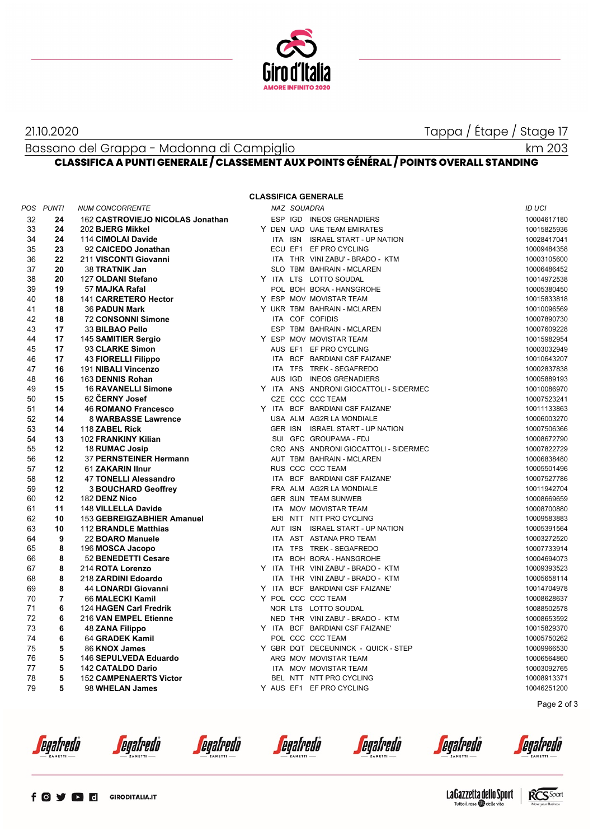

## 21.10.2020 Tappa / Étape / Stage 17

Bassano del Grappa - Madonna di Campiglio

km 203

## **CLASSIFICA A PUNTI GENERALE / CLASSEMENT AUX POINTS GÉNÉRAL / POINTS OVERALL STANDING**

| ∍os | <b>PUNTI</b> | <b>NUM CONCORRENTE</b>        |
|-----|--------------|-------------------------------|
| 32  | 24           | 162 CASTROVIEJO NICOLAS Jona  |
| 33  | 24           | 202 BJERG Mikkel              |
| 34  | 24           | 114 CIMOLAI Davide            |
| 35  | 23           | 92 CAICEDO Jonathan           |
| 36  | 22           | 211 VISCONTI Giovanni         |
| 37  | 20           | 38 TRATNIK Jan                |
| 38  | 20           | 127 OLDANI Stefano            |
| 39  | 19           | 57 MAJKA Rafal                |
| 40  | 18           | 141 CARRETERO Hector          |
| 41  | 18           | <b>36 PADUN Mark</b>          |
| 42  | 18           | <b>72 CONSONNI Simone</b>     |
| 43  | 17           | 33 BILBAO Pello               |
| 44  | 17           | 145 SAMITIER Sergio           |
| 45  | 17           | 93 CLARKE Simon               |
| 46  | 17           | <b>43 FIORELLI Filippo</b>    |
| 47  | 16           | 191 NIBALI Vincenzo           |
| 48  | 16           | 163 DENNIS Rohan              |
| 49  | 15           | <b>16 RAVANELLI Simone</b>    |
| 50  | 15           | 62 CERNY Josef                |
| 51  | 14           | <b>46 ROMANO Francesco</b>    |
| 52  | 14           | 8 WARBASSE Lawrence           |
| 53  | 14           | 118 ZABEL Rick                |
| 54  | 13           | 102 FRANKINY Kilian           |
| 55  | 12           | 18 RUMAC Josip                |
| 56  | 12           | 37 PERNSTEINER Hermann        |
| 57  | 12           | 61 ZAKARIN IInur              |
| 58  | 12           | <b>47 TONELLI Alessandro</b>  |
| 59  | 12           | <b>3 BOUCHARD Geoffrey</b>    |
| 60  | 12           | 182 DENZ Nico                 |
| 61  | 11           | 148 VILLELLA Davide           |
| 62  | 10           | 153 GEBREIGZABHIER Amanuel    |
| 63  | 10           | <b>112 BRANDLE Matthias</b>   |
| 64  | 9            | 22 BOARO Manuele              |
| 65  | 8            | 196 MOSCA Jacopo              |
| 66  | 8            | 52 BENEDETTI Cesare           |
| 67  | 8            | 214 ROTA Lorenzo              |
| 68  | 8            | 218 ZARDINI Edoardo           |
| 69  | 8            | 44 LONARDI Giovanni           |
| 70  | 7            | 66 MALECKI Kamil              |
| 71  | 6            | 124 HAGEN Carl Fredrik        |
| 72  | 6            | 216 VAN EMPEL Etienne         |
| 73  | 6            | <b>48 ZANA Filippo</b>        |
| 74  | 6            | 64 GRADEK Kamil               |
| 75  | 5            | 86 KNOX James                 |
| 76  | 5            | 146 SEPULVEDA Eduardo         |
| 77  | 5            | 142 CATALDO Dario             |
| 78  | 5            | <b>152 CAMPENAERTS Victor</b> |
| 79  | 5            | 98 WHELAN James               |

**CLASSIFICA GENERALE**

| POS | <b>PUNTI</b>   | <b>NUM CONCORRENTE</b>           | NAZ SQUADRA                             | <b>ID UCI</b> |
|-----|----------------|----------------------------------|-----------------------------------------|---------------|
| 32  | 24             | 162 CASTROVIEJO NICOLAS Jonathan | ESP IGD INEOS GRENADIERS                | 10004617180   |
| 33  | 24             | 202 BJERG Mikkel                 | Y DEN UAD UAE TEAM EMIRATES             | 10015825936   |
| 34  | 24             | 114 CIMOLAI Davide               | ITA ISN ISRAEL START - UP NATION        | 10028417041   |
| 35  | 23             | 92 CAICEDO Jonathan              | ECU EF1 EF PRO CYCLING                  | 10009484358   |
| 36  | 22             | 211 VISCONTI Giovanni            | ITA THR VINI ZABU' - BRADO - KTM        | 10003105600   |
| 37  | 20             | 38 TRATNIK Jan                   | SLO TBM BAHRAIN - MCLAREN               | 10006486452   |
| 38  | 20             | 127 OLDANI Stefano               | Y ITA LTS LOTTO SOUDAL                  | 10014972538   |
| 39  | 19             | 57 MAJKA Rafal                   | POL BOH BORA - HANSGROHE                | 10005380450   |
| 40  | 18             | 141 CARRETERO Hector             | Y ESP MOV MOVISTAR TEAM                 | 10015833818   |
| 41  | 18             | <b>36 PADUN Mark</b>             | Y UKR TBM BAHRAIN - MCLAREN             | 10010096569   |
| 42  | 18             | <b>72 CONSONNI Simone</b>        | ITA COF COFIDIS                         | 10007890730   |
| 43  | 17             | 33 BILBAO Pello                  | ESP TBM BAHRAIN - MCLAREN               | 10007609228   |
| 44  | 17             | 145 SAMITIER Sergio              | Y ESP MOV MOVISTAR TEAM                 | 10015982954   |
| 45  | 17             | 93 CLARKE Simon                  | AUS EF1 EF PRO CYCLING                  | 10003032949   |
| 46  | 17             | <b>43 FIORELLI Filippo</b>       | ITA BCF BARDIANI CSF FAIZANE'           | 10010643207   |
| 47  | 16             | 191 NIBALI Vincenzo              | ITA TFS TREK - SEGAFREDO                | 10002837838   |
| 48  | 16             | 163 DENNIS Rohan                 | AUS IGD INEOS GRENADIERS                | 10005889193   |
| 49  | 15             | <b>16 RAVANELLI Simone</b>       | Y ITA ANS ANDRONI GIOCATTOLI - SIDERMEC | 10010086970   |
| 50  | 15             | 62 CERNY Josef                   | CZE CCC CCC TEAM                        | 10007523241   |
| 51  | 14             | <b>46 ROMANO Francesco</b>       | Y ITA BCF BARDIANI CSF FAIZANE'         | 10011133863   |
| 52  | 14             | 8 WARBASSE Lawrence              | USA ALM AG2R LA MONDIALE                | 10006003270   |
| 53  | 14             | 118 ZABEL Rick                   | GER ISN ISRAEL START - UP NATION        | 10007506366   |
| 54  | 13             | 102 FRANKINY Kilian              | SUI GFC GROUPAMA - FDJ                  | 10008672790   |
| 55  | 12             | 18 RUMAC Josip                   | CRO ANS ANDRONI GIOCATTOLI - SIDERMEC   | 10007822729   |
| 56  | 12             | 37 PERNSTEINER Hermann           | AUT TBM BAHRAIN - MCLAREN               | 10006838480   |
| 57  | 12             | 61 ZAKARIN IInur                 | RUS CCC CCC TEAM                        | 10005501496   |
| 58  | 12             | 47 TONELLI Alessandro            | ITA BCF BARDIANI CSF FAIZANE'           | 10007527786   |
| 59  | 12             | <b>3 BOUCHARD Geoffrey</b>       | FRA ALM AG2R LA MONDIALE                | 10011942704   |
| 60  | 12             | 182 DENZ Nico                    | <b>GER SUN TEAM SUNWEB</b>              | 10008669659   |
| 61  | 11             | 148 VILLELLA Davide              | ITA MOV MOVISTAR TEAM                   | 10008700880   |
| 62  | 10             | 153 GEBREIGZABHIER Amanuel       | ERI NTT NTT PRO CYCLING                 | 10009583883   |
| 63  | 10             | 112 BRANDLE Matthias             | AUT ISN ISRAEL START - UP NATION        | 10005391564   |
| 64  | 9              | 22 BOARO Manuele                 | ITA AST ASTANA PRO TEAM                 | 10003272520   |
| 65  | 8              | 196 MOSCA Jacopo                 | ITA TFS TREK - SEGAFREDO                | 10007733914   |
| 66  | 8              | 52 BENEDETTI Cesare              | ITA BOH BORA - HANSGROHE                | 10004694073   |
| 67  | 8              | 214 ROTA Lorenzo                 | Y ITA THR VINI ZABU' - BRADO - KTM      | 10009393523   |
| 68  | 8              | 218 ZARDINI Edoardo              | ITA THR VINI ZABU' - BRADO - KTM        | 10005658114   |
| 69  | 8              | <b>44 LONARDI Giovanni</b>       | Y ITA BCF BARDIANI CSF FAIZANE'         | 10014704978   |
| 70  | $\overline{7}$ | 66 MALECKI Kamil                 | Y POL CCC CCC TEAM                      | 10008628637   |
| 71  | 6              | 124 HAGEN Carl Fredrik           | NOR LTS LOTTO SOUDAL                    | 10088502578   |
| 72  | 6              | 216 VAN EMPEL Etienne            | NED THR VINI ZABU' - BRADO - KTM        | 10008653592   |
| 73  | 6              | 48 ZANA Filippo                  | Y ITA BCF BARDIANI CSF FAIZANE'         | 10015829370   |
| 74  | 6              | 64 GRADEK Kamil                  | POL CCC CCC TEAM                        | 10005750262   |
| 75  | 5              | 86 KNOX James                    | Y GBR DQT DECEUNINCK - QUICK - STEP     | 10009966530   |
| 76  | 5              | 146 SEPULVEDA Eduardo            | ARG MOV MOVISTAR TEAM                   | 10006564860   |
| 77  | 5              | 142 CATALDO Dario                | ITA MOV MOVISTAR TEAM                   | 10003092765   |
| 78  | 5              | <b>152 CAMPENAERTS Victor</b>    | BEL NTT NTT PRO CYCLING                 | 10008913371   |
| 79  | 5              | 98 WHELAN James                  | Y AUS EF1 EF PRO CYCLING                | 10046251200   |
|     |                |                                  |                                         | Page 2 of 3   |

*<u>egafredò</u>* 

egafredò

*<u>egafredo</u>* 

*<u>egafredo</u>* 

*<u>egafredò</u>* 

egafredo

enafredo